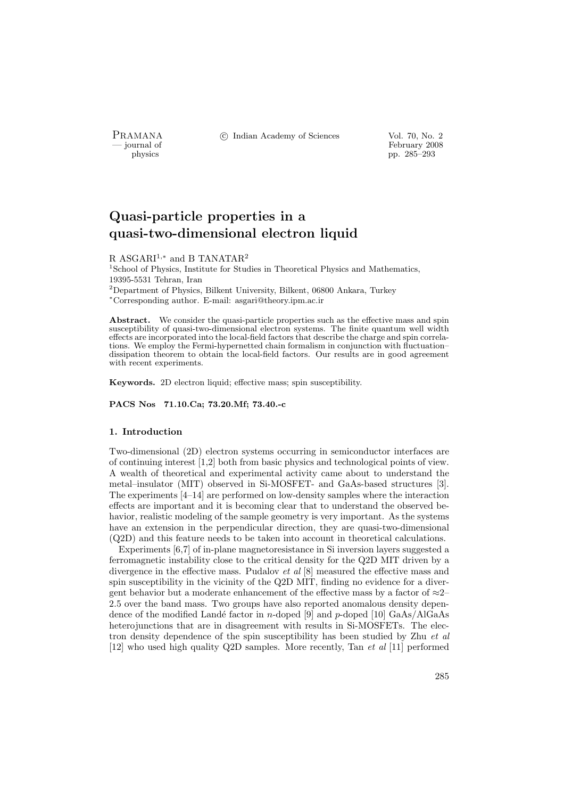PRAMANA °c Indian Academy of Sciences Vol. 70, No. 2

physics<br>
and the settlement of February 2008<br>
pp. 285–293 physics pp. 285–293

# Quasi-particle properties in a quasi-two-dimensional electron liquid

## R ASGARI<sup>1,\*</sup> and B TANATAR<sup>2</sup>

 $^1$ School of Physics, Institute for Studies in Theoretical Physics and Mathematics, 19395-5531 Tehran, Iran  $2$ Department of Physics, Bilkent University, Bilkent, 06800 Ankara, Turkey

<sup>∗</sup>Corresponding author. E-mail: asgari@theory.ipm.ac.ir

Abstract. We consider the quasi-particle properties such as the effective mass and spin susceptibility of quasi-two-dimensional electron systems. The finite quantum well width effects are incorporated into the local-field factors that describe the charge and spin correlations. We employ the Fermi-hypernetted chain formalism in conjunction with fluctuation– dissipation theorem to obtain the local-field factors. Our results are in good agreement with recent experiments.

Keywords. 2D electron liquid; effective mass; spin susceptibility.

PACS Nos 71.10.Ca; 73.20.Mf; 73.40.-c

## 1. Introduction

Two-dimensional (2D) electron systems occurring in semiconductor interfaces are of continuing interest [1,2] both from basic physics and technological points of view. A wealth of theoretical and experimental activity came about to understand the metal–insulator (MIT) observed in Si-MOSFET- and GaAs-based structures [3]. The experiments [4–14] are performed on low-density samples where the interaction effects are important and it is becoming clear that to understand the observed behavior, realistic modeling of the sample geometry is very important. As the systems have an extension in the perpendicular direction, they are quasi-two-dimensional (Q2D) and this feature needs to be taken into account in theoretical calculations.

Experiments [6,7] of in-plane magnetoresistance in Si inversion layers suggested a ferromagnetic instability close to the critical density for the Q2D MIT driven by a divergence in the effective mass. Pudalov et al [8] measured the effective mass and spin susceptibility in the vicinity of the Q2D MIT, finding no evidence for a divergent behavior but a moderate enhancement of the effective mass by a factor of  $\approx 2-$ 2.5 over the band mass. Two groups have also reported anomalous density dependence of the modified Landé factor in n-doped [9] and p-doped [10] GaAs/AlGaAs heterojunctions that are in disagreement with results in Si-MOSFETs. The electron density dependence of the spin susceptibility has been studied by Zhu *et al* [12] who used high quality Q2D samples. More recently, Tan et al [11] performed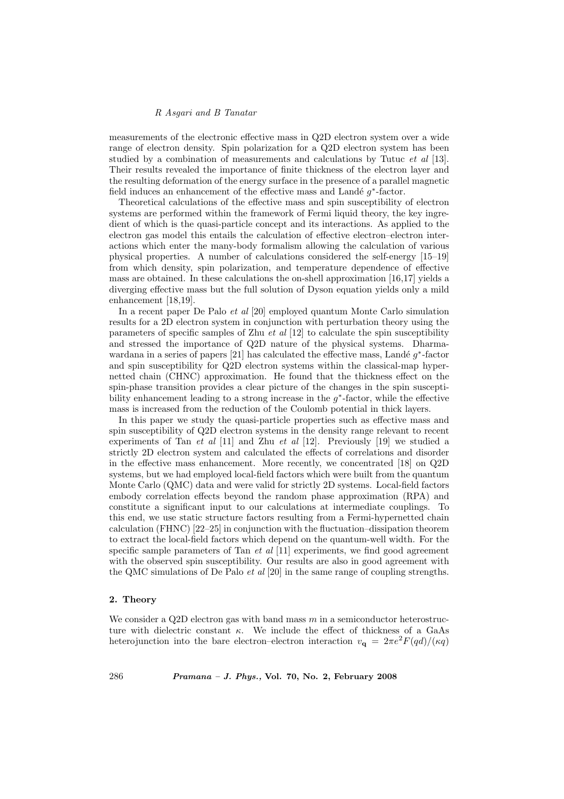## R Asgari and B Tanatar

measurements of the electronic effective mass in Q2D electron system over a wide range of electron density. Spin polarization for a Q2D electron system has been studied by a combination of measurements and calculations by Tutuc et al [13]. Their results revealed the importance of finite thickness of the electron layer and the resulting deformation of the energy surface in the presence of a parallel magnetic field induces an enhancement of the effective mass and Landé  $g^*$ -factor.

Theoretical calculations of the effective mass and spin susceptibility of electron systems are performed within the framework of Fermi liquid theory, the key ingredient of which is the quasi-particle concept and its interactions. As applied to the electron gas model this entails the calculation of effective electron–electron interactions which enter the many-body formalism allowing the calculation of various physical properties. A number of calculations considered the self-energy [15–19] from which density, spin polarization, and temperature dependence of effective mass are obtained. In these calculations the on-shell approximation [16,17] yields a diverging effective mass but the full solution of Dyson equation yields only a mild enhancement [18,19].

In a recent paper De Palo et al [20] employed quantum Monte Carlo simulation results for a 2D electron system in conjunction with perturbation theory using the parameters of specific samples of Zhu  $et \ al \ [12]$  to calculate the spin susceptibility and stressed the importance of Q2D nature of the physical systems. Dharmawardana in a series of papers [21] has calculated the effective mass, Landé  $g^*$ -factor and spin susceptibility for Q2D electron systems within the classical-map hypernetted chain (CHNC) approximation. He found that the thickness effect on the spin-phase transition provides a clear picture of the changes in the spin susceptibility enhancement leading to a strong increase in the  $g^*$ -factor, while the effective mass is increased from the reduction of the Coulomb potential in thick layers.

In this paper we study the quasi-particle properties such as effective mass and spin susceptibility of Q2D electron systems in the density range relevant to recent experiments of Tan *et al* [11] and Zhu *et al* [12]. Previously [19] we studied a strictly 2D electron system and calculated the effects of correlations and disorder in the effective mass enhancement. More recently, we concentrated [18] on Q2D systems, but we had employed local-field factors which were built from the quantum Monte Carlo (QMC) data and were valid for strictly 2D systems. Local-field factors embody correlation effects beyond the random phase approximation (RPA) and constitute a significant input to our calculations at intermediate couplings. To this end, we use static structure factors resulting from a Fermi-hypernetted chain calculation (FHNC) [22–25] in conjunction with the fluctuation–dissipation theorem to extract the local-field factors which depend on the quantum-well width. For the specific sample parameters of Tan  $et$  al  $[11]$  experiments, we find good agreement with the observed spin susceptibility. Our results are also in good agreement with the QMC simulations of De Palo  $et$  al [20] in the same range of coupling strengths.

#### 2. Theory

We consider a Q2D electron gas with band mass  $m$  in a semiconductor heterostructure with dielectric constant  $\kappa$ . We include the effect of thickness of a GaAs heterojunction into the bare electron–electron interaction  $v_{q} = 2\pi e^{2}F(qd)/(\kappa q)$ 

286 Pramana – J. Phys., Vol. 70, No. 2, February 2008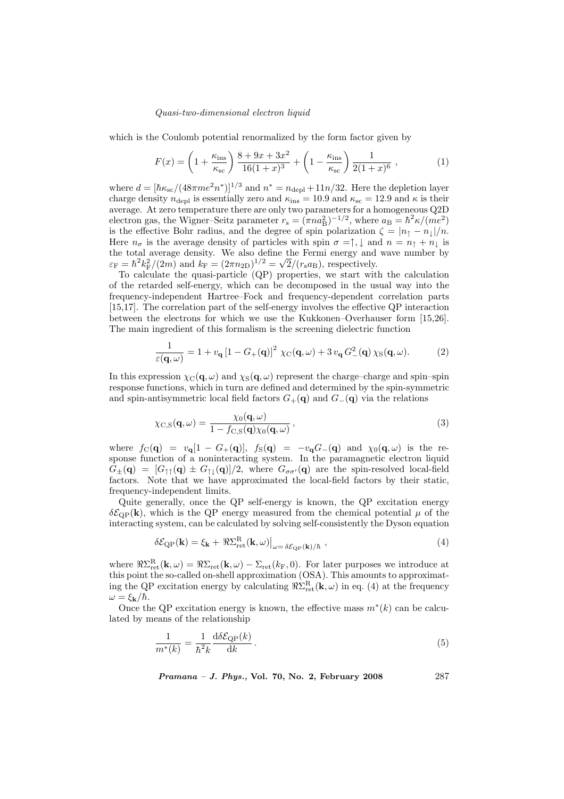which is the Coulomb potential renormalized by the form factor given by

$$
F(x) = \left(1 + \frac{\kappa_{\rm ins}}{\kappa_{\rm sc}}\right) \frac{8 + 9x + 3x^2}{16(1+x)^3} + \left(1 - \frac{\kappa_{\rm ins}}{\kappa_{\rm sc}}\right) \frac{1}{2(1+x)^6} ,\qquad (1)
$$

where  $d = [\hbar \kappa_{\rm sc}/(48\pi m e^2 n^*)]^{1/3}$  and  $n^* = n_{\rm depl} + 11n/32$ . Here the depletion layer charge density  $n_{\text{depl}}$  is essentially zero and  $\kappa_{\text{ins}} = 10.9$  and  $\kappa_{\text{sc}} = 12.9$  and  $\kappa$  is their average. At zero temperature there are only two parameters for a homogeneous Q2D electron gas, the Wigner-Seitz parameter  $r_s = (\pi n a_B^2)^{-1/2}$ , where  $a_B = \hbar^2 \kappa/(m e^2)$ is the effective Bohr radius, and the degree of spin polarization  $\zeta = |n_{\uparrow} - n_{\downarrow}|/n$ . Here  $n_{\sigma}$  is the average density of particles with spin  $\sigma = \uparrow, \downarrow$  and  $n = n_{\uparrow} + n_{\downarrow}$  is the total average density. We also define the Fermi energy and wave number by the total average density. We also define<br>  $\varepsilon_{\rm F} = \hbar^2 k_{\rm F}^2/(2m)$  and  $k_{\rm F} = (2\pi n_{\rm 2D})^{1/2} = \sqrt{2m_{\rm F}^2}$  $\overline{2}/(r_{\rm s}a_{\rm B})$ , respectively.

To calculate the quasi-particle (QP) properties, we start with the calculation of the retarded self-energy, which can be decomposed in the usual way into the frequency-independent Hartree–Fock and frequency-dependent correlation parts [15,17]. The correlation part of the self-energy involves the effective QP interaction between the electrons for which we use the Kukkonen–Overhauser form [15,26]. The main ingredient of this formalism is the screening dielectric function

$$
\frac{1}{\varepsilon(\mathbf{q},\omega)} = 1 + v_{\mathbf{q}} \left[ 1 - G_{+}(\mathbf{q}) \right]^2 \chi_{\text{C}}(\mathbf{q},\omega) + 3 v_{\mathbf{q}} G_{-}^2(\mathbf{q}) \chi_{\text{S}}(\mathbf{q},\omega). \tag{2}
$$

In this expression  $\chi_C(\mathbf{q}, \omega)$  and  $\chi_S(\mathbf{q}, \omega)$  represent the charge–charge and spin–spin response functions, which in turn are defined and determined by the spin-symmetric and spin-antisymmetric local field factors  $G_+(\mathbf{q})$  and  $G_-(\mathbf{q})$  via the relations

$$
\chi_{\rm C,S}(\mathbf{q},\omega) = \frac{\chi_0(\mathbf{q},\omega)}{1 - f_{\rm C,S}(\mathbf{q})\chi_0(\mathbf{q},\omega)},
$$
\n(3)

where  $f_C(\mathbf{q}) = v_\mathbf{q}[1 - G_+(\mathbf{q})], f_S(\mathbf{q}) = -v_\mathbf{q}G_-(\mathbf{q})$  and  $\chi_0(\mathbf{q}, \omega)$  is the response function of a noninteracting system. In the paramagnetic electron liquid  $G_{\pm}(\mathbf{q}) = [G_{\uparrow\uparrow}(\mathbf{q}) \pm G_{\uparrow\downarrow}(\mathbf{q})]/2$ , where  $G_{\sigma\sigma'}(\mathbf{q})$  are the spin-resolved local-field factors. Note that we have approximated the local-field factors by their static, frequency-independent limits.

Quite generally, once the QP self-energy is known, the QP excitation energy  $\delta\mathcal{E}_{\text{QP}}(\mathbf{k})$ , which is the QP energy measured from the chemical potential  $\mu$  of the interacting system, can be calculated by solving self-consistently the Dyson equation

$$
\delta \mathcal{E}_{\mathrm{QP}}(\mathbf{k}) = \xi_{\mathbf{k}} + \Re \Sigma_{\mathrm{ret}}^{\mathrm{R}}(\mathbf{k}, \omega) \big|_{\omega = \delta \mathcal{E}_{\mathrm{QP}}(\mathbf{k})/\hbar} , \qquad (4)
$$

where  $\Re\Sigma_{\rm ret}^{\rm R}({\bf k},\omega)=\Re\Sigma_{\rm ret}({\bf k},\omega)-\Sigma_{\rm ret}(k_{\rm F},0)$ . For later purposes we introduce at this point the so-called on-shell approximation (OSA). This amounts to approximating the QP excitation energy by calculating  $\Re \Sigma_{\rm ret}^{\rm R}({\bf k},\omega)$  in eq. (4) at the frequency  $\omega = \xi_{\bf k}/\hbar$ .

Once the QP excitation energy is known, the effective mass  $m^*(k)$  can be calculated by means of the relationship

$$
\frac{1}{m^*(k)} = \frac{1}{\hbar^2 k} \frac{\mathrm{d}\delta \mathcal{E}_{\mathrm{QP}}(k)}{\mathrm{d}k}.
$$
\n(5)

*Pramana – J. Phys.*, Vol. 70, No. 2, February 2008 287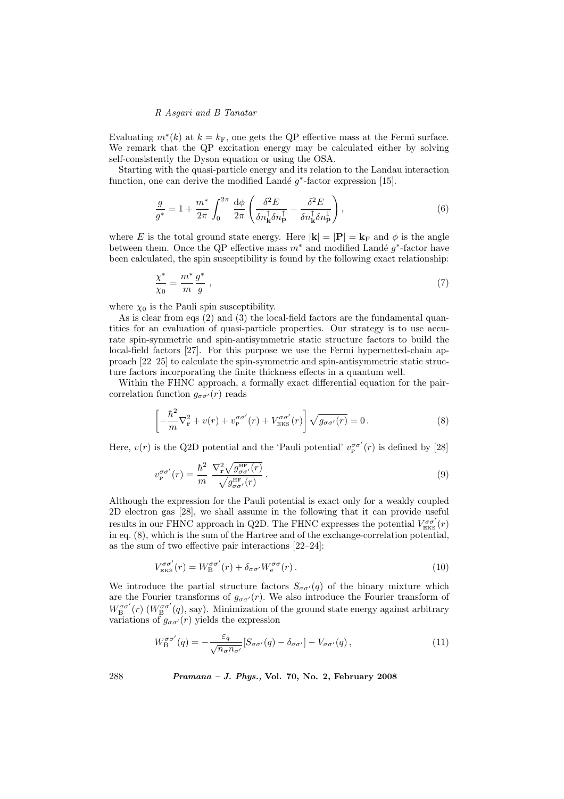## R Asgari and B Tanatar

Evaluating  $m^*(k)$  at  $k = k_F$ , one gets the QP effective mass at the Fermi surface. We remark that the QP excitation energy may be calculated either by solving self-consistently the Dyson equation or using the OSA.

Starting with the quasi-particle energy and its relation to the Landau interaction function, one can derive the modified Landé  $g^*$ -factor expression [15].

$$
\frac{g}{g^*} = 1 + \frac{m^*}{2\pi} \int_0^{2\pi} \frac{\mathrm{d}\phi}{2\pi} \left( \frac{\delta^2 E}{\delta n_\mathbf{k}^\dagger \delta n_\mathbf{p}^\dagger} - \frac{\delta^2 E}{\delta n_\mathbf{k}^\dagger \delta n_\mathbf{p}^\dagger} \right),\tag{6}
$$

where E is the total ground state energy. Here  $|\mathbf{k}| = |\mathbf{P}| = \mathbf{k}_{\text{F}}$  and  $\phi$  is the angle between them. Once the QP effective mass  $m^*$  and modified Landé  $g^*$ -factor have been calculated, the spin susceptibility is found by the following exact relationship:

$$
\frac{\chi^*}{\chi_0} = \frac{m^*}{m} \frac{g^*}{g} \,,\tag{7}
$$

where  $\chi_0$  is the Pauli spin susceptibility.

As is clear from eqs (2) and (3) the local-field factors are the fundamental quantities for an evaluation of quasi-particle properties. Our strategy is to use accurate spin-symmetric and spin-antisymmetric static structure factors to build the local-field factors [27]. For this purpose we use the Fermi hypernetted-chain approach [22–25] to calculate the spin-symmetric and spin-antisymmetric static structure factors incorporating the finite thickness effects in a quantum well.

Within the FHNC approach, a formally exact differential equation for the paircorrelation function  $g_{\sigma\sigma'}(r)$  reads

$$
\left[ -\frac{\hbar^2}{m} \nabla_{\mathbf{r}}^2 + v(r) + v_{\mathbf{p}}^{\sigma \sigma'}(r) + V_{\mathbf{EKS}}^{\sigma \sigma'}(r) \right] \sqrt{g_{\sigma \sigma'}(r)} = 0. \tag{8}
$$

Here,  $v(r)$  is the Q2D potential and the 'Pauli potential'  $v^{\sigma \sigma'}_p$  $P_P^{\sigma\sigma'}(r)$  is defined by [28]

$$
v_{\rm p}^{\sigma\sigma'}(r) = \frac{\hbar^2}{m} \frac{\nabla_{\bf r}^2 \sqrt{g_{\sigma\sigma'}^{\rm HF}(r)}}{\sqrt{g_{\sigma\sigma'}^{\rm HF}(r)}}.
$$
\n(9)

Although the expression for the Pauli potential is exact only for a weakly coupled 2D electron gas [28], we shall assume in the following that it can provide useful results in our FHNC approach in Q2D. The FHNC expresses the potential  $V_{\text{\tiny EKS}}^{\sigma\sigma'}(r)$ in eq. (8), which is the sum of the Hartree and of the exchange-correlation potential, as the sum of two effective pair interactions [22–24]:

$$
V_{\text{EKS}}^{\sigma\sigma'}(r) = W_{\text{B}}^{\sigma\sigma'}(r) + \delta_{\sigma\sigma'} W_{\text{e}}^{\sigma\sigma}(r). \tag{10}
$$

We introduce the partial structure factors  $S_{\sigma\sigma'}(q)$  of the binary mixture which are the Fourier transforms of  $g_{\sigma\sigma'}(r)$ . We also introduce the Fourier transform of  $W_{\text{B}}^{\sigma\sigma'}(r)$  ( $W_{\text{B}}^{\sigma\sigma'}(q)$ , say). Minimization of the ground state energy against arbitrary variations of  $q_{\sigma\sigma'}(r)$  yields the expression

$$
W_{\mathcal{B}}^{\sigma\sigma'}(q) = -\frac{\varepsilon_q}{\sqrt{n_\sigma n_{\sigma'}}} [S_{\sigma\sigma'}(q) - \delta_{\sigma\sigma'}] - V_{\sigma\sigma'}(q) ,\qquad (11)
$$

288 Pramana – J. Phys., Vol. 70, No. 2, February 2008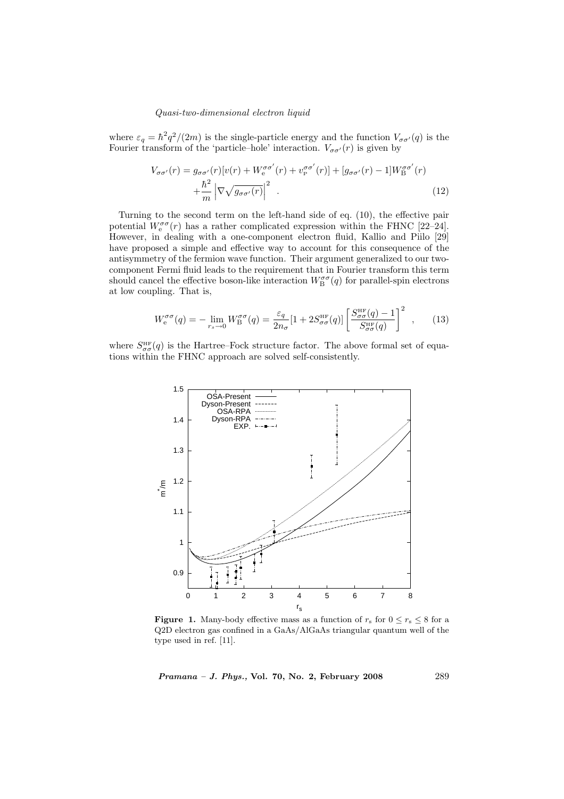where  $\varepsilon_q = \hbar^2 q^2/(2m)$  is the single-particle energy and the function  $V_{\sigma\sigma'}(q)$  is the Fourier transform of the 'particle–hole' interaction.  $V_{\sigma\sigma'}(r)$  is given by

$$
V_{\sigma\sigma'}(r) = g_{\sigma\sigma'}(r)[v(r) + W_e^{\sigma\sigma'}(r) + v_{\rm p}^{\sigma\sigma'}(r)] + [g_{\sigma\sigma'}(r) - 1]W_{\rm B}^{\sigma\sigma'}(r) + \frac{\hbar^2}{m} \left| \nabla \sqrt{g_{\sigma\sigma'}(r)} \right|^2.
$$
 (12)

Turning to the second term on the left-hand side of eq. (10), the effective pair potential  $W_e^{\sigma\sigma}(r)$  has a rather complicated expression within the FHNC [22–24]. However, in dealing with a one-component electron fluid, Kallio and Piilo [29] have proposed a simple and effective way to account for this consequence of the antisymmetry of the fermion wave function. Their argument generalized to our twocomponent Fermi fluid leads to the requirement that in Fourier transform this term should cancel the effective boson-like interaction  $W_{\text{B}}^{\sigma\sigma}(q)$  for parallel-spin electrons at low coupling. That is,

$$
W_{\rm e}^{\sigma\sigma}(q) = -\lim_{r_s \to 0} W_{\rm B}^{\sigma\sigma}(q) = \frac{\varepsilon_q}{2n_\sigma} [1 + 2S_{\sigma\sigma}^{\rm HF}(q)] \left[ \frac{S_{\sigma\sigma}^{\rm HF}(q) - 1}{S_{\sigma\sigma}^{\rm HF}(q)} \right]^2 , \qquad (13)
$$

where  $S_{\sigma\sigma}^{\text{HF}}(q)$  is the Hartree–Fock structure factor. The above formal set of equations within the FHNC approach are solved self-consistently.



**Figure 1.** Many-body effective mass as a function of  $r_s$  for  $0 \le r_s \le 8$  for a Q2D electron gas confined in a GaAs/AlGaAs triangular quantum well of the type used in ref. [11].

Pramana – J. Phys., Vol. 70, No. 2, February 2008 289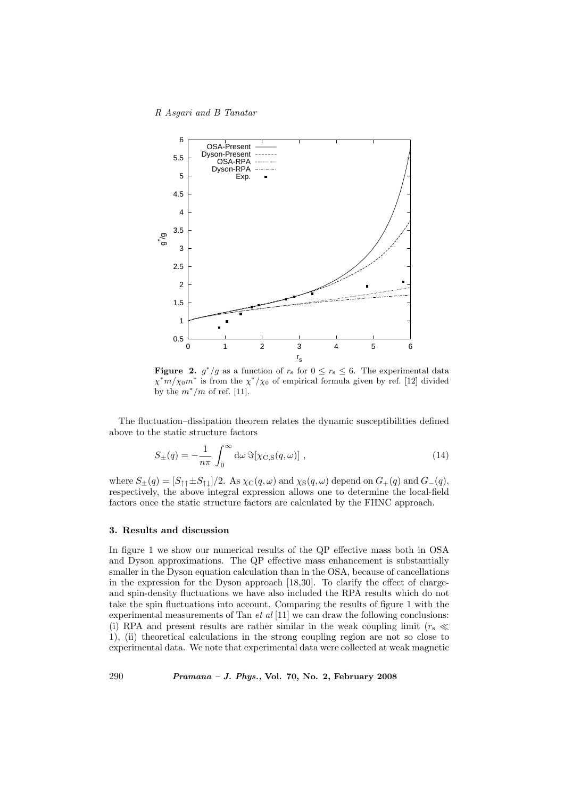R Asgari and B Tanatar



**Figure 2.**  $g^*/g$  as a function of  $r_s$  for  $0 \le r_s \le 6$ . The experimental data  $\chi^* m / \chi_0 m^*$  is from the  $\chi^* / \chi_0$  of empirical formula given by ref. [12] divided by the  $m^*/m$  of ref. [11].

The fluctuation–dissipation theorem relates the dynamic susceptibilities defined above to the static structure factors

$$
S_{\pm}(q) = -\frac{1}{n\pi} \int_0^\infty d\omega \,\Im[\chi_{\rm C,S}(q,\omega)] \;, \tag{14}
$$

where  $S_{\pm}(q) = [S_{\uparrow\uparrow} \pm S_{\uparrow\downarrow}]/2$ . As  $\chi_C(q,\omega)$  and  $\chi_S(q,\omega)$  depend on  $G_{+}(q)$  and  $G_{-}(q)$ , respectively, the above integral expression allows one to determine the local-field factors once the static structure factors are calculated by the FHNC approach.

## 3. Results and discussion

In figure 1 we show our numerical results of the QP effective mass both in OSA and Dyson approximations. The QP effective mass enhancement is substantially smaller in the Dyson equation calculation than in the OSA, because of cancellations in the expression for the Dyson approach [18,30]. To clarify the effect of chargeand spin-density fluctuations we have also included the RPA results which do not take the spin fluctuations into account. Comparing the results of figure 1 with the experimental measurements of Tan  $et al [11]$  we can draw the following conclusions: (i) RPA and present results are rather similar in the weak coupling limit ( $r_s \ll$ 1), (ii) theoretical calculations in the strong coupling region are not so close to experimental data. We note that experimental data were collected at weak magnetic

290 Pramana – J. Phys., Vol. 70, No. 2, February 2008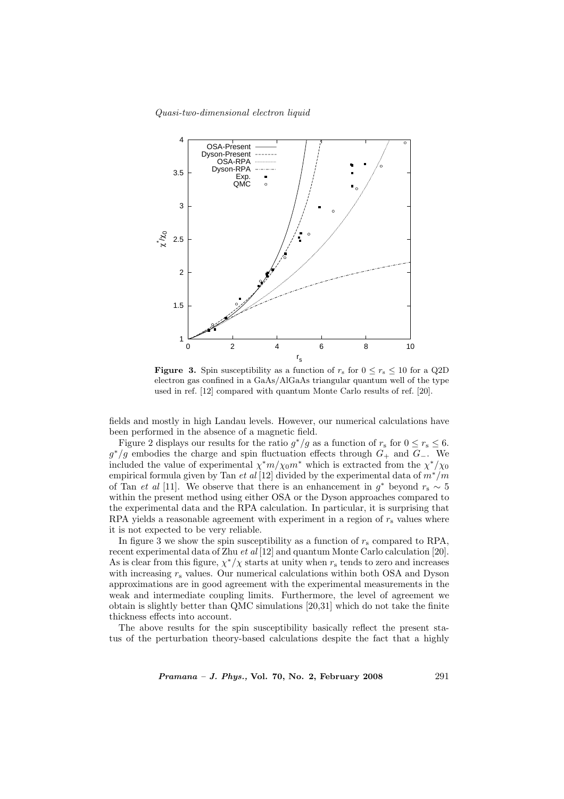

**Figure 3.** Spin susceptibility as a function of  $r_s$  for  $0 \le r_s \le 10$  for a Q2D electron gas confined in a GaAs/AlGaAs triangular quantum well of the type used in ref. [12] compared with quantum Monte Carlo results of ref. [20].

fields and mostly in high Landau levels. However, our numerical calculations have been performed in the absence of a magnetic field.

Figure 2 displays our results for the ratio  $g^*/g$  as a function of  $r_s$  for  $0 \le r_s \le 6$ .  $g^*/g$  embodies the charge and spin fluctuation effects through  $G_+$  and  $G_-$ . We included the value of experimental  $\chi^* m / \chi_0 m^*$  which is extracted from the  $\chi^* / \chi_0$ empirical formula given by Tan et al [12] divided by the experimental data of  $m^*/m$ of Tan *et al* [11]. We observe that there is an enhancement in  $g^*$  beyond  $r_s \sim 5$ within the present method using either OSA or the Dyson approaches compared to the experimental data and the RPA calculation. In particular, it is surprising that RPA yields a reasonable agreement with experiment in a region of  $r<sub>s</sub>$  values where it is not expected to be very reliable.

In figure 3 we show the spin susceptibility as a function of  $r_s$  compared to RPA, recent experimental data of Zhu et al [12] and quantum Monte Carlo calculation [20]. As is clear from this figure,  $\chi^*/\chi$  starts at unity when  $r_s$  tends to zero and increases with increasing  $r_{\rm s}$  values. Our numerical calculations within both OSA and Dyson approximations are in good agreement with the experimental measurements in the weak and intermediate coupling limits. Furthermore, the level of agreement we obtain is slightly better than QMC simulations [20,31] which do not take the finite thickness effects into account.

The above results for the spin susceptibility basically reflect the present status of the perturbation theory-based calculations despite the fact that a highly

*Pramana – J. Phys.*, Vol. 70, No. 2, February 2008 291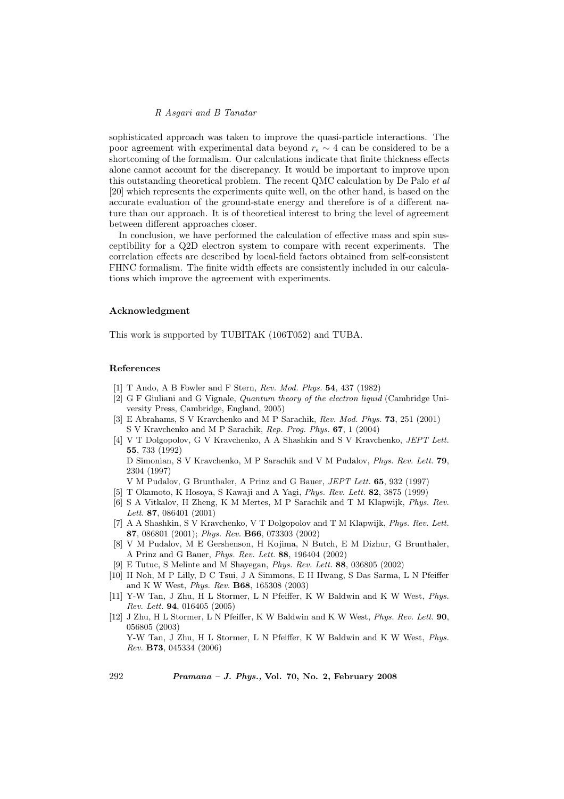## R Asgari and B Tanatar

sophisticated approach was taken to improve the quasi-particle interactions. The poor agreement with experimental data beyond  $r_s \sim 4$  can be considered to be a shortcoming of the formalism. Our calculations indicate that finite thickness effects alone cannot account for the discrepancy. It would be important to improve upon this outstanding theoretical problem. The recent QMC calculation by De Palo et al [20] which represents the experiments quite well, on the other hand, is based on the accurate evaluation of the ground-state energy and therefore is of a different nature than our approach. It is of theoretical interest to bring the level of agreement between different approaches closer.

In conclusion, we have performed the calculation of effective mass and spin susceptibility for a Q2D electron system to compare with recent experiments. The correlation effects are described by local-field factors obtained from self-consistent FHNC formalism. The finite width effects are consistently included in our calculations which improve the agreement with experiments.

#### Acknowledgment

This work is supported by TUBITAK (106T052) and TUBA.

# References

- [1] T Ando, A B Fowler and F Stern, Rev. Mod. Phys. 54, 437 (1982)
- [2] G F Giuliani and G Vignale, Quantum theory of the electron liquid (Cambridge University Press, Cambridge, England, 2005)
- [3] E Abrahams, S V Kravchenko and M P Sarachik, Rev. Mod. Phys. 73, 251 (2001) S V Kravchenko and M P Sarachik, Rep. Prog. Phys. 67, 1 (2004)
- [4] V T Dolgopolov, G V Kravchenko, A A Shashkin and S V Kravchenko, JEPT Lett. 55, 733 (1992) D Simonian, S V Kravchenko, M P Sarachik and V M Pudalov, Phys. Rev. Lett. 79, 2304 (1997)
- V M Pudalov, G Brunthaler, A Prinz and G Bauer, JEPT Lett. 65, 932 (1997)
- [5] T Okamoto, K Hosoya, S Kawaji and A Yagi, Phys. Rev. Lett. 82, 3875 (1999)
- [6] S A Vitkalov, H Zheng, K M Mertes, M P Sarachik and T M Klapwijk, Phys. Rev. Lett. 87, 086401 (2001)
- [7] A A Shashkin, S V Kravchenko, V T Dolgopolov and T M Klapwijk, Phys. Rev. Lett. 87, 086801 (2001); Phys. Rev. B66, 073303 (2002)
- [8] V M Pudalov, M E Gershenson, H Kojima, N Butch, E M Dizhur, G Brunthaler, A Prinz and G Bauer, Phys. Rev. Lett. 88, 196404 (2002)
- [9] E Tutuc, S Melinte and M Shayegan, Phys. Rev. Lett. 88, 036805 (2002)
- [10] H Noh, M P Lilly, D C Tsui, J A Simmons, E H Hwang, S Das Sarma, L N Pfeiffer and K W West, Phys. Rev. B68, 165308 (2003)
- [11] Y-W Tan, J Zhu, H L Stormer, L N Pfeiffer, K W Baldwin and K W West, Phys. Rev. Lett. 94, 016405 (2005)
- [12] J Zhu, H L Stormer, L N Pfeiffer, K W Baldwin and K W West, Phys. Rev. Lett. 90, 056805 (2003) Y-W Tan, J Zhu, H L Stormer, L N Pfeiffer, K W Baldwin and K W West, Phys.

Rev. B73, 045334 (2006)